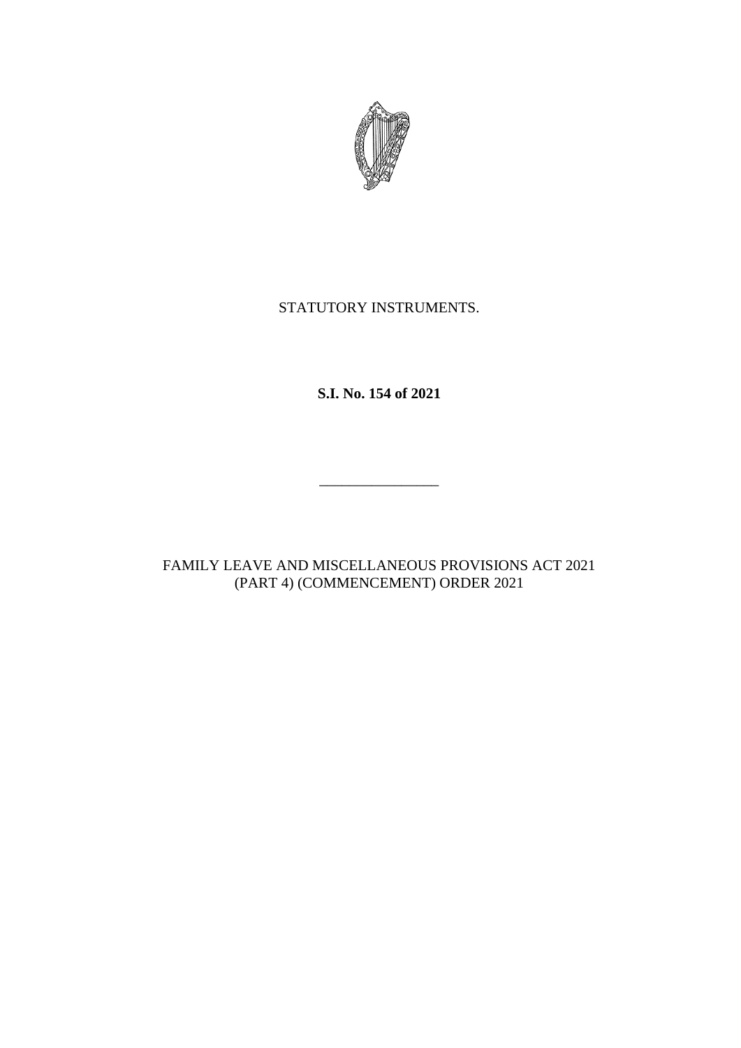

# STATUTORY INSTRUMENTS.

**S.I. No. 154 of 2021**

 $\frac{1}{2}$  . The set of the set of the set of the set of the set of the set of the set of the set of the set of the set of the set of the set of the set of the set of the set of the set of the set of the set of the set of

FAMILY LEAVE AND MISCELLANEOUS PROVISIONS ACT 2021 (PART 4) (COMMENCEMENT) ORDER 2021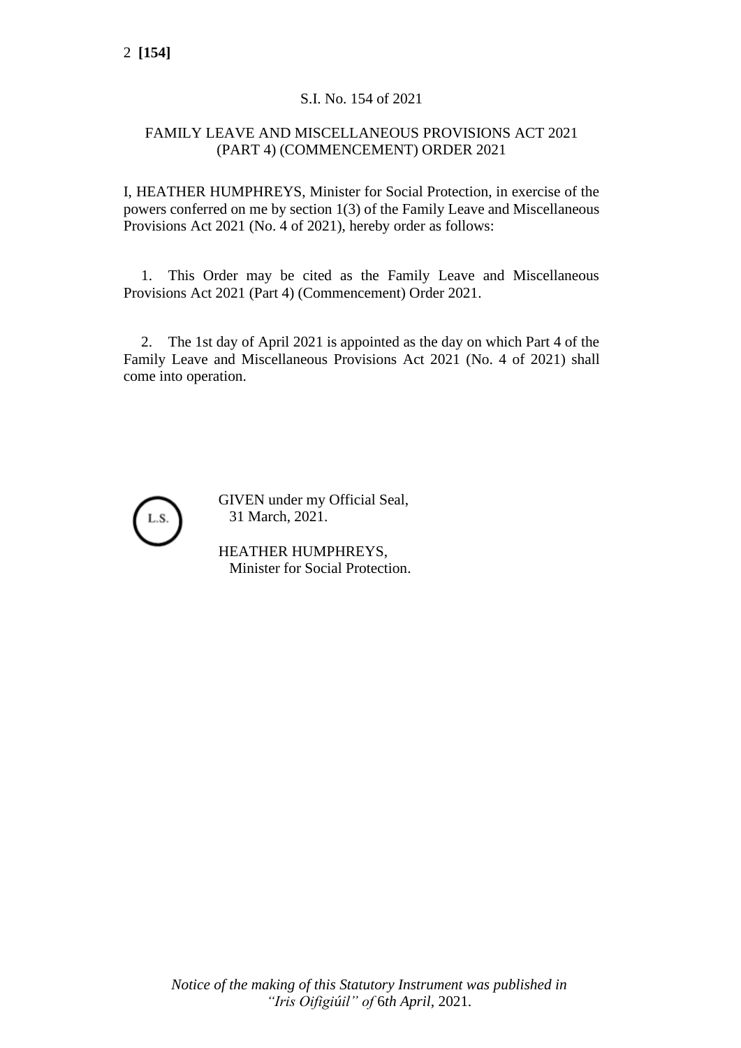## S.I. No. 154 of 2021

### FAMILY LEAVE AND MISCELLANEOUS PROVISIONS ACT 2021 (PART 4) (COMMENCEMENT) ORDER 2021

I, HEATHER HUMPHREYS, Minister for Social Protection, in exercise of the powers conferred on me by section 1(3) of the Family Leave and Miscellaneous Provisions Act 2021 (No. 4 of 2021), hereby order as follows:

1. This Order may be cited as the Family Leave and Miscellaneous Provisions Act 2021 (Part 4) (Commencement) Order 2021.

2. The 1st day of April 2021 is appointed as the day on which Part 4 of the Family Leave and Miscellaneous Provisions Act 2021 (No. 4 of 2021) shall come into operation.



GIVEN under my Official Seal, 31 March, 2021.

HEATHER HUMPHREYS, Minister for Social Protection.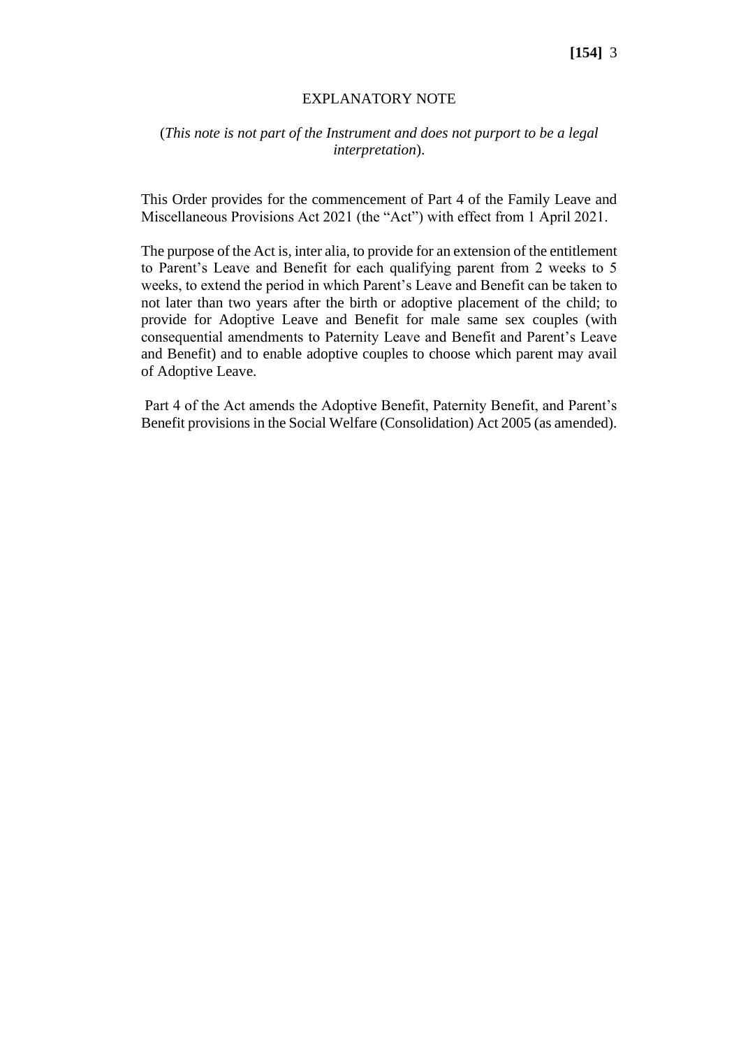#### **[154]** 3

#### EXPLANATORY NOTE

#### (*This note is not part of the Instrument and does not purport to be a legal interpretation*).

This Order provides for the commencement of Part 4 of the Family Leave and Miscellaneous Provisions Act 2021 (the "Act") with effect from 1 April 2021.

The purpose of the Act is, inter alia, to provide for an extension of the entitlement to Parent's Leave and Benefit for each qualifying parent from 2 weeks to 5 weeks, to extend the period in which Parent's Leave and Benefit can be taken to not later than two years after the birth or adoptive placement of the child; to provide for Adoptive Leave and Benefit for male same sex couples (with consequential amendments to Paternity Leave and Benefit and Parent's Leave and Benefit) and to enable adoptive couples to choose which parent may avail of Adoptive Leave.

Part 4 of the Act amends the Adoptive Benefit, Paternity Benefit, and Parent's Benefit provisions in the Social Welfare (Consolidation) Act 2005 (as amended).